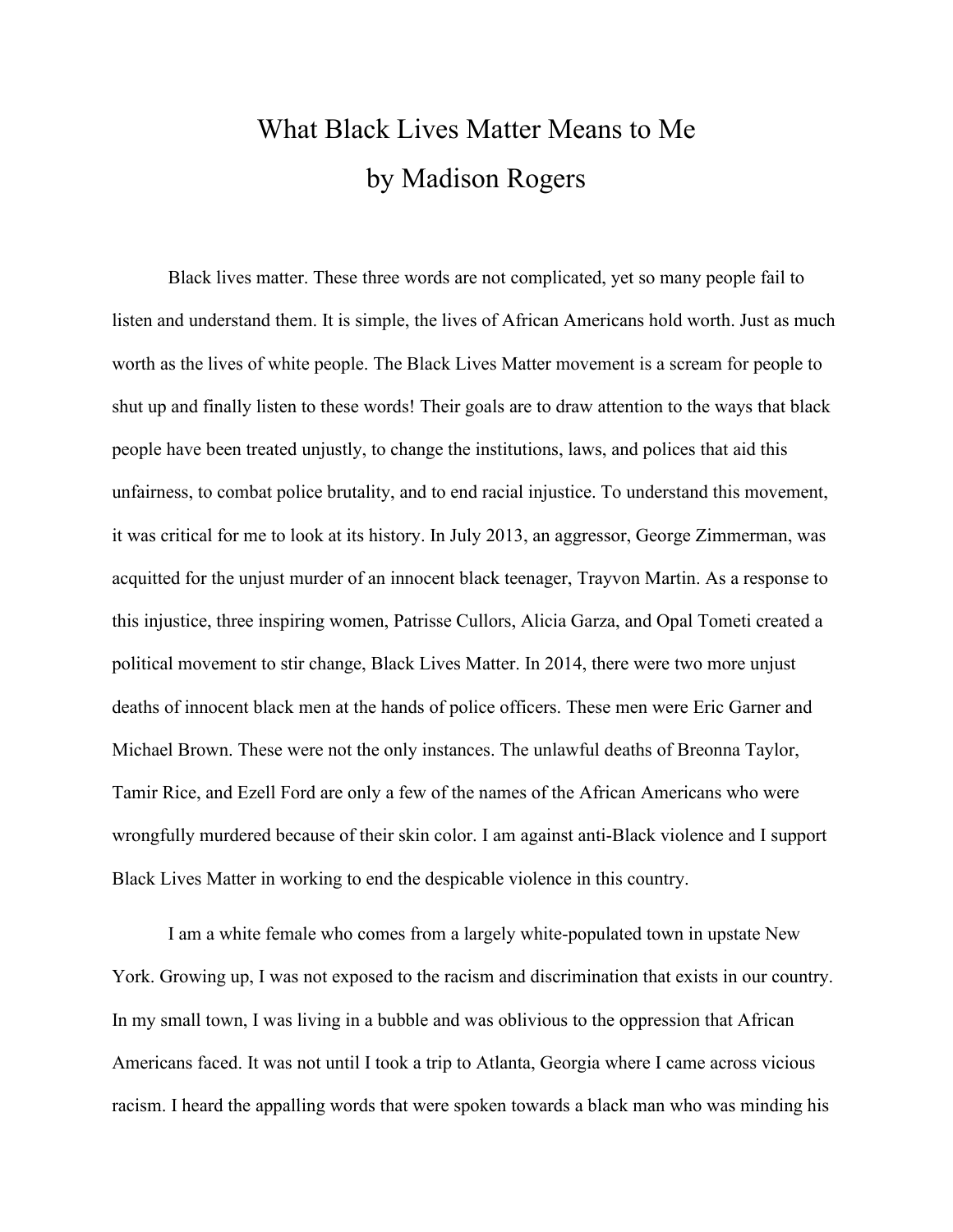## What Black Lives Matter Means to Me by Madison Rogers

Black lives matter. These three words are not complicated, yet so many people fail to listen and understand them. It is simple, the lives of African Americans hold worth. Just as much worth as the lives of white people. The Black Lives Matter movement is a scream for people to shut up and finally listen to these words! Their goals are to draw attention to the ways that black people have been treated unjustly, to change the institutions, laws, and polices that aid this unfairness, to combat police brutality, and to end racial injustice. To understand this movement, it was critical for me to look at its history. In July 2013, an aggressor, George Zimmerman, was acquitted for the unjust murder of an innocent black teenager, Trayvon Martin. As a response to this injustice, three inspiring women, Patrisse Cullors, Alicia Garza, and Opal Tometi created a political movement to stir change, Black Lives Matter. In 2014, there were two more unjust deaths of innocent black men at the hands of police officers. These men were Eric Garner and Michael Brown. These were not the only instances. The unlawful deaths of Breonna Taylor, Tamir Rice, and Ezell Ford are only a few of the names of the African Americans who were wrongfully murdered because of their skin color. I am against anti-Black violence and I support Black Lives Matter in working to end the despicable violence in this country.

I am a white female who comes from a largely white-populated town in upstate New York. Growing up, I was not exposed to the racism and discrimination that exists in our country. In my small town, I was living in a bubble and was oblivious to the oppression that African Americans faced. It was not until I took a trip to Atlanta, Georgia where I came across vicious racism. I heard the appalling words that were spoken towards a black man who was minding his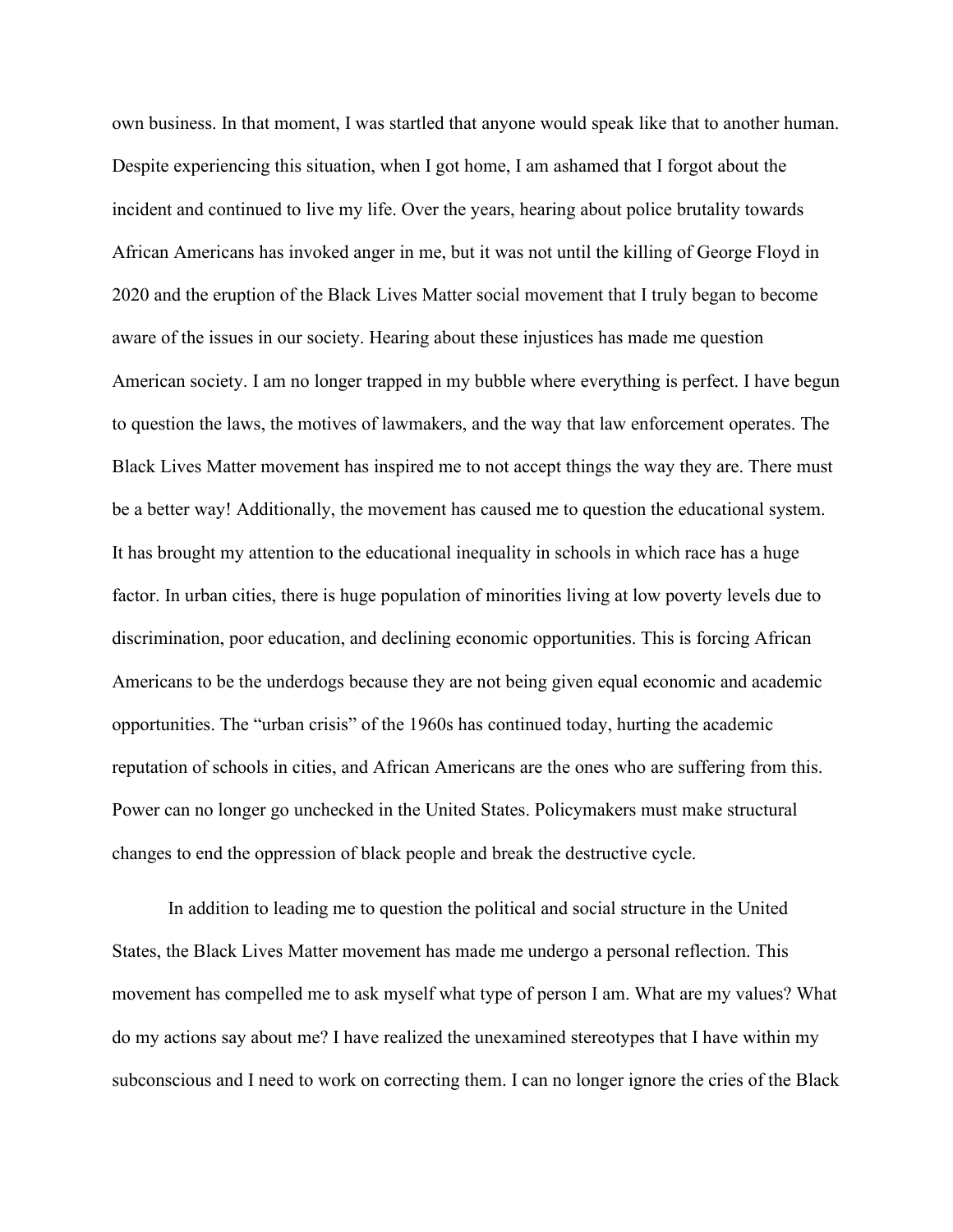own business. In that moment, I was startled that anyone would speak like that to another human. Despite experiencing this situation, when I got home, I am ashamed that I forgot about the incident and continued to live my life. Over the years, hearing about police brutality towards African Americans has invoked anger in me, but it was not until the killing of George Floyd in 2020 and the eruption of the Black Lives Matter social movement that I truly began to become aware of the issues in our society. Hearing about these injustices has made me question American society. I am no longer trapped in my bubble where everything is perfect. I have begun to question the laws, the motives of lawmakers, and the way that law enforcement operates. The Black Lives Matter movement has inspired me to not accept things the way they are. There must be a better way! Additionally, the movement has caused me to question the educational system. It has brought my attention to the educational inequality in schools in which race has a huge factor. In urban cities, there is huge population of minorities living at low poverty levels due to discrimination, poor education, and declining economic opportunities. This is forcing African Americans to be the underdogs because they are not being given equal economic and academic opportunities. The "urban crisis" of the 1960s has continued today, hurting the academic reputation of schools in cities, and African Americans are the ones who are suffering from this. Power can no longer go unchecked in the United States. Policymakers must make structural changes to end the oppression of black people and break the destructive cycle.

In addition to leading me to question the political and social structure in the United States, the Black Lives Matter movement has made me undergo a personal reflection. This movement has compelled me to ask myself what type of person I am. What are my values? What do my actions say about me? I have realized the unexamined stereotypes that I have within my subconscious and I need to work on correcting them. I can no longer ignore the cries of the Black